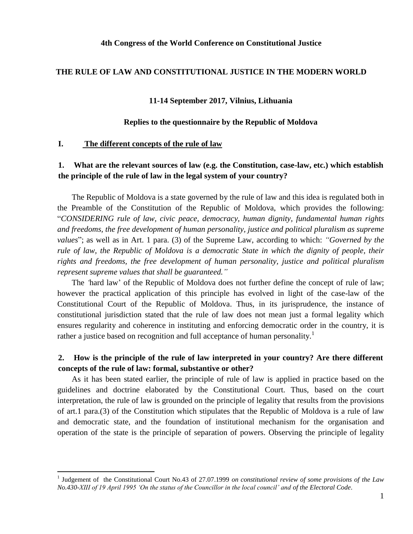#### **4th Congress of the World Conference on Constitutional Justice**

#### **THE RULE OF LAW AND CONSTITUTIONAL JUSTICE IN THE MODERN WORLD**

#### **11-14 September 2017, Vilnius, Lithuania**

### **Replies to the questionnaire by the Republic of Moldova**

#### **I. The different concepts of the rule of law**

 $\overline{a}$ 

### **1. What are the relevant sources of law (e.g. the Constitution, case-law, etc.) which establish the principle of the rule of law in the legal system of your country?**

The Republic of Moldova is a state governed by the rule of law and this idea is regulated both in the Preamble of the Constitution of the Republic of Moldova, which provides the following: "*CONSIDERING rule of law, civic peace, democracy, human dignity, fundamental human rights and freedoms, the free development of human personality, justice and political pluralism as supreme values*"; as well as in Art. 1 para. (3) of the Supreme Law, according to which: *"Governed by the rule of law, the Republic of Moldova is a democratic State in which the dignity of people, their rights and freedoms, the free development of human personality, justice and political pluralism represent supreme values that shall be guaranteed."*

The *'*hard law' of the Republic of Moldova does not further define the concept of rule of law; however the practical application of this principle has evolved in light of the case-law of the Constitutional Court of the Republic of Moldova. Thus, in its jurisprudence, the instance of constitutional jurisdiction stated that the rule of law does not mean just a formal legality which ensures regularity and coherence in instituting and enforcing democratic order in the country, it is rather a justice based on recognition and full acceptance of human personality.<sup>1</sup>

### **2. How is the principle of the rule of law interpreted in your country? Are there different concepts of the rule of law: formal, substantive or other?**

As it has been stated earlier, the principle of rule of law is applied in practice based on the guidelines and doctrine elaborated by the Constitutional Court. Thus, based on the court interpretation, the rule of law is grounded on the principle of legality that results from the provisions of art.1 para.(3) of the Constitution which stipulates that the Republic of Moldova is a rule of law and democratic state, and the foundation of institutional mechanism for the organisation and operation of the state is the principle of separation of powers. Observing the principle of legality

<sup>&</sup>lt;sup>1</sup> Judgement of the Constitutional Court No.43 of 27.07.1999 *on constitutional review of some provisions of the Law No.430-XIII of 19 April 1995 'On the status of the Councillor in the local council' and of the Electoral Code*.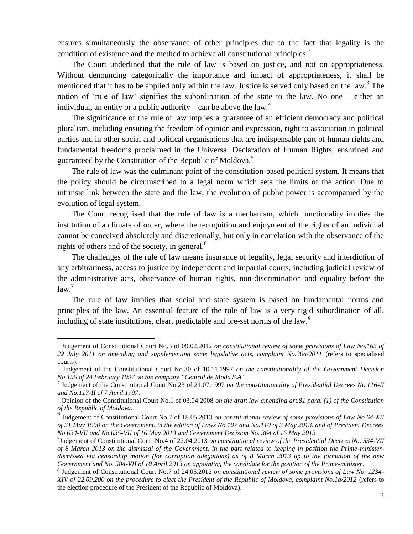ensures simultaneously the observance of other principles due to the fact that legality is the condition of existence and the method to achieve all constitutional principles.<sup>2</sup>

The Court underlined that the rule of law is based on justice, and not on appropriateness. Without denouncing categorically the importance and impact of appropriateness, it shall be mentioned that it has to be applied only within the law. Justice is served only based on the law.<sup>3</sup> The notion of 'rule of law' signifies the subordination of the state to the law. No one – either an individual, an entity or a public authority – can be above the law.<sup>4</sup>

The significance of the rule of law implies a guarantee of an efficient democracy and political pluralism, including ensuring the freedom of opinion and expression, right to association in political parties and in other social and political organisations that are indispensable part of human rights and fundamental freedoms proclaimed in the Universal Declaration of Human Rights, enshrined and guaranteed by the Constitution of the Republic of Moldova.<sup>5</sup>

The rule of law was the culminant point of the constitution-based political system. It means that the policy should be circumscribed to a legal norm which sets the limits of the action. Due to intrinsic link between the state and the law, the evolution of public power is accompanied by the evolution of legal system.

The Court recognised that the rule of law is a mechanism, which functionality implies the institution of a climate of order, where the recognition and enjoyment of the rights of an individual cannot be conceived absolutely and discretionally, but only in correlation with the observance of the rights of others and of the society, in general. $<sup>6</sup>$ </sup>

The challenges of the rule of law means insurance of legality, legal security and interdiction of any arbitrariness, access to justice by independent and impartial courts, including judicial review of the administrative acts, observance of human rights, non-discrimination and equality before the  $law<sup>7</sup>$ 

The rule of law implies that social and state system is based on fundamental norms and principles of the law. An essential feature of the rule of law is a very rigid subordination of all, including of state institutions, clear, predictable and pre-set norms of the law.*<sup>8</sup>*

<sup>&</sup>lt;sup>2</sup> Judgement of Constitutional Court No.3 of 09.02.2012 *on constitutional review of some provisions of Law No.163 of 22 July 2011 on amending and supplementing some legislative acts, complaint No.30a/2011* (refers to specialised courts)*.*

<sup>3</sup> Judgement of the Constitutional Court No.30 of 10.11.1997 *on the constitutionality of the Government Decision No.155 of 24 February 1997 on the company "Centrul de Moda S.A".*

<sup>4</sup> Judgement of the Constitutional Court No.23 of 21.07.1997 *on the constitutionality of Presidential Decrees No.116-II and No.117-II of 7 April 1997*.

<sup>5</sup> Opinion of the Constitutional Court No.1 of 03.04.2008 *on the draft law amending art.81 para. (1) of the Constitution of the Republic of Moldova.*

<sup>6</sup> Judgement of Constitutional Court No.7 of 18.05.2013 *on constitutional review of some provisions of Law No.64-XII of 31 May 1990 on the Government, in the edition of Laws No.107 and No.110 of 3 May 2013, and of President Decrees No.634-VII and No.635-VII of 16 May 2013 and Government Decision No. 364 of 16 May 2013*.

<sup>7</sup> Judgement of Constitutional Court No.4 of 22.04.2013 *on constitutional review of the Presidential Decrees No. 534-VII of 8 March 2013 on the dismissal of the Government, in the part related to keeping in position the Prime-ministerdismissed via censorship motion (for corruption allegations) as of 8 March 2013 up to the formation of the new Government and No. 584-VII of 10 April 2013 on appointing the candidate for the position of the Prime-minister*.

<sup>8</sup> Judgement of Constitutional Court No.7 of 24.05.2012 *on constitutional review of some provisions of Law No. 1234- XIV of 22.09.200 on the procedure to elect the President of the Republic of Moldova, complaint No.1a/2012* (refers to the election procedure of the President of the Republic of Moldova)*.*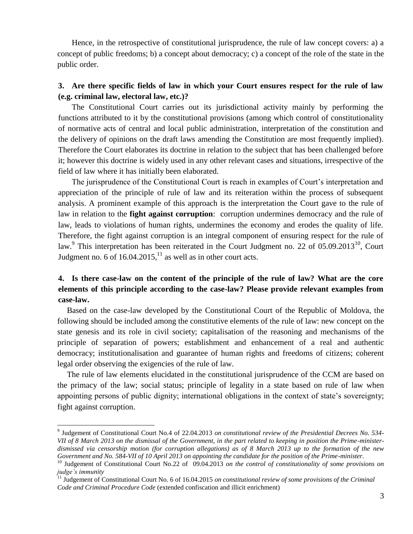Hence, in the retrospective of constitutional jurisprudence, the rule of law concept covers: a) a concept of public freedoms; b) a concept about democracy; c) a concept of the role of the state in the public order.

### **3. Are there specific fields of law in which your Court ensures respect for the rule of law (e.g. criminal law, electoral law, etc.)?**

The Constitutional Court carries out its jurisdictional activity mainly by performing the functions attributed to it by the constitutional provisions (among which control of constitutionality of normative acts of central and local public administration, interpretation of the constitution and the delivery of opinions on the draft laws amending the Constitution are most frequently implied). Therefore the Court elaborates its doctrine in relation to the subject that has been challenged before it; however this doctrine is widely used in any other relevant cases and situations, irrespective of the field of law where it has initially been elaborated.

The jurisprudence of the Constitutional Court is reach in examples of Court's interpretation and appreciation of the principle of rule of law and its reiteration within the process of subsequent analysis. A prominent example of this approach is the interpretation the Court gave to the rule of law in relation to the **fight against corruption**: corruption undermines democracy and the rule of law, leads to violations of human rights, undermines the economy and erodes the quality of life. Therefore, the fight against corruption is an integral component of ensuring respect for the rule of law.<sup>9</sup> This interpretation has been reiterated in the Court Judgment no. 22 of 05.09.2013<sup>10</sup>, Court Judgment no. 6 of  $16.04.2015$ ,<sup>11</sup> as well as in other court acts.

# **4. Is there case-law on the content of the principle of the rule of law? What are the core elements of this principle according to the case-law? Please provide relevant examples from case-law.**

Based on the case-law developed by the Constitutional Court of the Republic of Moldova, the following should be included among the constitutive elements of the rule of law: new concept on the state genesis and its role in civil society; capitalisation of the reasoning and mechanisms of the principle of separation of powers; establishment and enhancement of a real and authentic democracy; institutionalisation and guarantee of human rights and freedoms of citizens; coherent legal order observing the exigencies of the rule of law.

The rule of law elements elucidated in the constitutional jurisprudence of the CCM are based on the primacy of the law; social status; principle of legality in a state based on rule of law when appointing persons of public dignity; international obligations in the context of state's sovereignty; fight against corruption.

<sup>9</sup> Judgement of Constitutional Court No.4 of 22.04.2013 *on constitutional review of the Presidential Decrees No. 534- VII of 8 March 2013 on the dismissal of the Government, in the part related to keeping in position the Prime-ministerdismissed via censorship motion (for corruption allegations) as of 8 March 2013 up to the formation of the new Government and No. 584-VII of 10 April 2013 on appointing the candidate for the position of the Prime-minister*.

<sup>&</sup>lt;sup>10</sup> Judgement of Constitutional Court No.22 of 09.04.2013 *on the control of constitutionality of some provisions on judge's immunity*

<sup>&</sup>lt;sup>11</sup> Judgement of Constitutional Court No. 6 of 16.04.2015 *on constitutional review of some provisions of the Criminal Code and Criminal Procedure Code* (extended confiscation and illicit enrichment)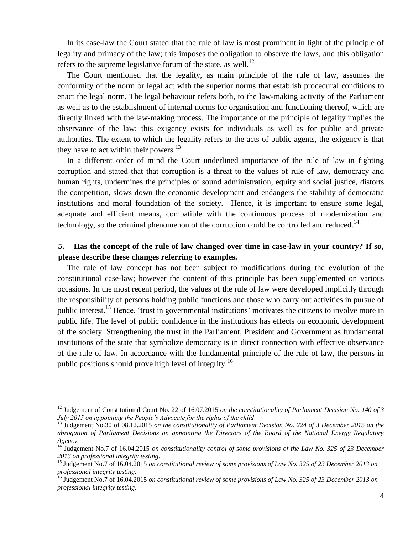In its case-law the Court stated that the rule of law is most prominent in light of the principle of legality and primacy of the law; this imposes the obligation to observe the laws, and this obligation refers to the supreme legislative forum of the state, as well.<sup>12</sup>

The Court mentioned that the legality, as main principle of the rule of law, assumes the conformity of the norm or legal act with the superior norms that establish procedural conditions to enact the legal norm. The legal behaviour refers both, to the law-making activity of the Parliament as well as to the establishment of internal norms for organisation and functioning thereof, which are directly linked with the law-making process. The importance of the principle of legality implies the observance of the law; this exigency exists for individuals as well as for public and private authorities. The extent to which the legality refers to the acts of public agents, the exigency is that they have to act within their powers. $^{13}$ 

In a different order of mind the Court underlined importance of the rule of law in fighting corruption and stated that that corruption is a threat to the values of rule of law, democracy and human rights, undermines the principles of sound administration, equity and social justice, distorts the competition, slows down the economic development and endangers the stability of democratic institutions and moral foundation of the society. Hence, it is important to ensure some legal, adequate and efficient means, compatible with the continuous process of modernization and technology, so the criminal phenomenon of the corruption could be controlled and reduced.<sup>14</sup>

### **5. Has the concept of the rule of law changed over time in case-law in your country? If so, please describe these changes referring to examples.**

The rule of law concept has not been subject to modifications during the evolution of the constitutional case-law; however the content of this principle has been supplemented on various occasions. In the most recent period, the values of the rule of law were developed implicitly through the responsibility of persons holding public functions and those who carry out activities in pursue of public interest.<sup>15</sup> Hence, 'trust in governmental institutions' motivates the citizens to involve more in public life. The level of public confidence in the institutions has effects on economic development of the society. Strengthening the trust in the Parliament, President and Government as fundamental institutions of the state that symbolize democracy is in direct connection with effective observance of the rule of law. In accordance with the fundamental principle of the rule of law, the persons in public positions should prove high level of integrity.<sup>16</sup>

<sup>12</sup> Judgement of Constitutional Court No. 22 of 16.07.2015 *on the constitutionality of Parliament Decision No. 140 of 3 July 2015 on appointing the People's Advocate for the rights of the child* 

<sup>&</sup>lt;sup>13</sup> Judgement No.30 of 08.12.2015 *on the constitutionality of Parliament Decision No. 224 of 3 December 2015 on the abrogation of Parliament Decisions on appointing the Directors of the Board of the National Energy Regulatory Agency.*

<sup>&</sup>lt;sup>14</sup> Judgement No.7 of 16.04.2015 *on constitutionality control of some provisions of the Law No. 325 of 23 December 2013 on professional integrity testing.*

<sup>15</sup> Judgement No.7 of 16.04.2015 *on constitutional review of some provisions of Law No. 325 of 23 December 2013 on professional integrity testing.*

<sup>16</sup> Judgement No.7 of 16.04.2015 *on constitutional review of some provisions of Law No. 325 of 23 December 2013 on professional integrity testing.*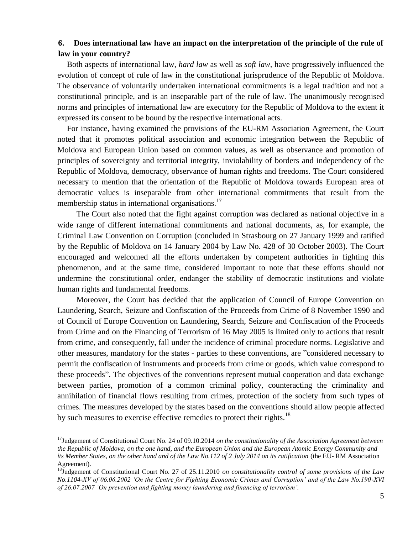## **6. Does international law have an impact on the interpretation of the principle of the rule of law in your country?**

Both aspects of international law, *hard law* as well as *soft law,* have progressively influenced the evolution of concept of rule of law in the constitutional jurisprudence of the Republic of Moldova. The observance of voluntarily undertaken international commitments is a legal tradition and not a constitutional principle, and is an inseparable part of the rule of law. The unanimously recognised norms and principles of international law are executory for the Republic of Moldova to the extent it expressed its consent to be bound by the respective international acts.

For instance, having examined the provisions of the EU-RM Association Agreement, the Court noted that it promotes political association and economic integration between the Republic of Moldova and European Union based on common values, as well as observance and promotion of principles of sovereignty and territorial integrity, inviolability of borders and independency of the Republic of Moldova, democracy, observance of human rights and freedoms. The Court considered necessary to mention that the orientation of the Republic of Moldova towards European area of democratic values is inseparable from other international commitments that result from the membership status in international organisations.<sup>17</sup>

The Court also noted that the fight against corruption was declared as national objective in a wide range of different international commitments and national documents, as, for example, the Criminal Law Convention on Corruption (concluded in Strasbourg on 27 January 1999 and ratified by the Republic of Moldova on 14 January 2004 by Law No. 428 of 30 October 2003). The Court encouraged and welcomed all the efforts undertaken by competent authorities in fighting this phenomenon, and at the same time, considered important to note that these efforts should not undermine the constitutional order, endanger the stability of democratic institutions and violate human rights and fundamental freedoms.

Moreover, the Court has decided that the application of Council of Europe Convention on Laundering, Search, Seizure and Confiscation of the Proceeds from Crime of 8 November 1990 and of Council of Europe Convention on Laundering, Search, Seizure and Confiscation of the Proceeds from Crime and on the Financing of Terrorism of 16 May 2005 is limited only to actions that result from crime, and consequently, fall under the incidence of criminal procedure norms. Legislative and other measures, mandatory for the states - parties to these conventions, are "considered necessary to permit the confiscation of instruments and proceeds from crime or goods, which value correspond to these proceeds". The objectives of the conventions represent mutual cooperation and data exchange between parties, promotion of a common criminal policy, counteracting the criminality and annihilation of financial flows resulting from crimes, protection of the society from such types of crimes. The measures developed by the states based on the conventions should allow people affected by such measures to exercise effective remedies to protect their rights.<sup>18</sup>

<sup>&</sup>lt;sup>17</sup>Judgement of Constitutional Court No. 24 of 09.10.2014 *on the constitutionality of the Association Agreement between the Republic of Moldova, on the one hand, and the European Union and the European Atomic Energy Community and its Member States, on the other hand and of the Law No.112 of 2 July 2014 on its ratification* (the EU- RM Association Agreement).

<sup>18</sup>Judgement of Constitutional Court No. 27 of 25.11.2010 *on constitutionality control of some provisions of the Law No.1104-XV of 06.06.2002 'On the Centre for Fighting Economic Crimes and Corruption' and of the Law No.190-XVI of 26.07.2007 'On prevention and fighting money laundering and financing of terrorism'.*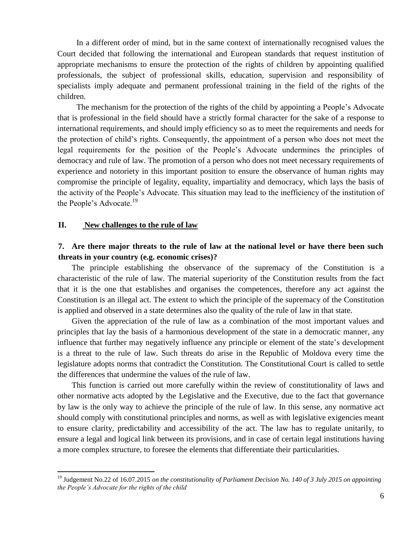In a different order of mind, but in the same context of internationally recognised values the Court decided that following the international and European standards that request institution of appropriate mechanisms to ensure the protection of the rights of children by appointing qualified professionals, the subject of professional skills, education, supervision and responsibility of specialists imply adequate and permanent professional training in the field of the rights of the children.

The mechanism for the protection of the rights of the child by appointing a People's Advocate that is professional in the field should have a strictly formal character for the sake of a response to international requirements, and should imply efficiency so as to meet the requirements and needs for the protection of child's rights. Consequently, the appointment of a person who does not meet the legal requirements for the position of the People's Advocate undermines the principles of democracy and rule of law. The promotion of a person who does not meet necessary requirements of experience and notoriety in this important position to ensure the observance of human rights may compromise the principle of legality, equality, impartiality and democracy, which lays the basis of the activity of the People's Advocate. This situation may lead to the inefficiency of the institution of the People's Advocate.<sup>19</sup>

### **II. New challenges to the rule of law**

 $\overline{a}$ 

### **7. Are there major threats to the rule of law at the national level or have there been such threats in your country (e.g. economic crises)?**

The principle establishing the observance of the supremacy of the Constitution is a characteristic of the rule of law. The material superiority of the Constitution results from the fact that it is the one that establishes and organises the competences, therefore any act against the Constitution is an illegal act. The extent to which the principle of the supremacy of the Constitution is applied and observed in a state determines also the quality of the rule of law in that state.

Given the appreciation of the rule of law as a combination of the most important values and principles that lay the basis of a harmonious development of the state in a democratic manner, any influence that further may negatively influence any principle or element of the state's development is a threat to the rule of law. Such threats do arise in the Republic of Moldova every time the legislature adopts norms that contradict the Constitution. The Constitutional Court is called to settle the differences that undermine the values of the rule of law.

This function is carried out more carefully within the review of constitutionality of laws and other normative acts adopted by the Legislative and the Executive, due to the fact that governance by law is the only way to achieve the principle of the rule of law. In this sense, any normative act should comply with constitutional principles and norms, as well as with legislative exigencies meant to ensure clarity, predictability and accessibility of the act. The law has to regulate unitarily, to ensure a legal and logical link between its provisions, and in case of certain legal institutions having a more complex structure, to foresee the elements that differentiate their particularities.

<sup>&</sup>lt;sup>19</sup> Judgement No.22 of 16.07.2015 *on the constitutionality of Parliament Decision No. 140 of 3 July 2015 on appointing the People's Advocate for the rights of the child*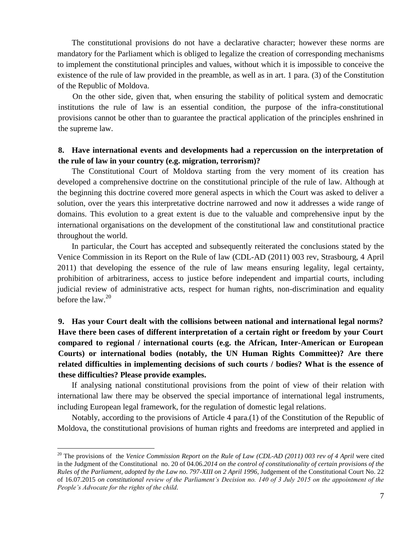The constitutional provisions do not have a declarative character; however these norms are mandatory for the Parliament which is obliged to legalize the creation of corresponding mechanisms to implement the constitutional principles and values, without which it is impossible to conceive the existence of the rule of law provided in the preamble, as well as in art. 1 para. (3) of the Constitution of the Republic of Moldova.

On the other side, given that, when ensuring the stability of political system and democratic institutions the rule of law is an essential condition, the purpose of the infra-constitutional provisions cannot be other than to guarantee the practical application of the principles enshrined in the supreme law.

### **8. Have international events and developments had a repercussion on the interpretation of the rule of law in your country (e.g. migration, terrorism)?**

The Constitutional Court of Moldova starting from the very moment of its creation has developed a comprehensive doctrine on the constitutional principle of the rule of law. Although at the beginning this doctrine covered more general aspects in which the Court was asked to deliver a solution, over the years this interpretative doctrine narrowed and now it addresses a wide range of domains. This evolution to a great extent is due to the valuable and comprehensive input by the international organisations on the development of the constitutional law and constitutional practice throughout the world.

In particular, the Court has accepted and subsequently reiterated the conclusions stated by the Venice Commission in its Report on the Rule of law (CDL-AD (2011) 003 rev, Strasbourg, 4 April 2011) that developing the essence of the rule of law means ensuring legality, legal certainty, prohibition of arbitrariness, access to justice before independent and impartial courts, including judicial review of administrative acts, respect for human rights, non-discrimination and equality before the law. 20

# **9. Has your Court dealt with the collisions between national and international legal norms? Have there been cases of different interpretation of a certain right or freedom by your Court compared to regional / international courts (e.g. the African, Inter-American or European Courts) or international bodies (notably, the UN Human Rights Committee)? Are there related difficulties in implementing decisions of such courts / bodies? What is the essence of these difficulties? Please provide examples.**

If analysing national constitutional provisions from the point of view of their relation with international law there may be observed the special importance of international legal instruments, including European legal framework, for the regulation of domestic legal relations.

Notably, according to the provisions of Article 4 para.(1) of the Constitution of the Republic of Moldova, the constitutional provisions of human rights and freedoms are interpreted and applied in

<sup>20</sup> The provisions of the *Venice Commission Report on the Rule of Law (CDL-AD (2011) 003 rev of 4 April* were cited in the Judgment of the Constitutional no. 20 of 04.06.*2014 on the control of constitutionality of certain provisions of the Rules of the Parliament, adopted by the Law no. 797-XIII on 2 April 1996*, Judgement of the Constitutional Court No. 22 of 16.07.2015 *on constitutional review of the Parliament's Decision no. 140 of 3 July 2015 on the appointment of the People's Advocate for the rights of the child.*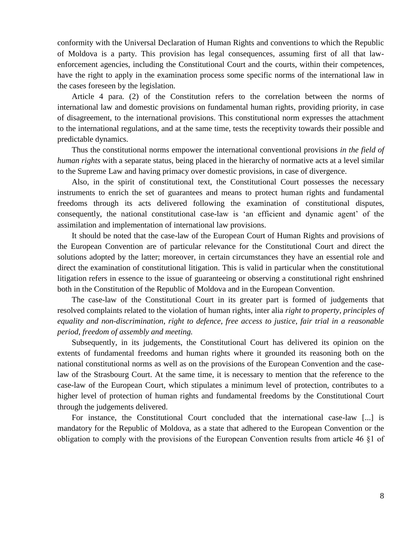conformity with the Universal Declaration of Human Rights and conventions to which the Republic of Moldova is a party. This provision has legal consequences, assuming first of all that lawenforcement agencies, including the Constitutional Court and the courts, within their competences, have the right to apply in the examination process some specific norms of the international law in the cases foreseen by the legislation.

Article 4 para. (2) of the Constitution refers to the correlation between the norms of international law and domestic provisions on fundamental human rights, providing priority, in case of disagreement, to the international provisions. This constitutional norm expresses the attachment to the international regulations, and at the same time, tests the receptivity towards their possible and predictable dynamics.

Thus the constitutional norms empower the international conventional provisions *in the field of human rights* with a separate status, being placed in the hierarchy of normative acts at a level similar to the Supreme Law and having primacy over domestic provisions, in case of divergence.

Also, in the spirit of constitutional text, the Constitutional Court possesses the necessary instruments to enrich the set of guarantees and means to protect human rights and fundamental freedoms through its acts delivered following the examination of constitutional disputes, consequently, the national constitutional case-law is 'an efficient and dynamic agent' of the assimilation and implementation of international law provisions.

It should be noted that the case-law of the European Court of Human Rights and provisions of the European Convention are of particular relevance for the Constitutional Court and direct the solutions adopted by the latter; moreover, in certain circumstances they have an essential role and direct the examination of constitutional litigation. This is valid in particular when the constitutional litigation refers in essence to the issue of guaranteeing or observing a constitutional right enshrined both in the Constitution of the Republic of Moldova and in the European Convention.

The case-law of the Constitutional Court in its greater part is formed of judgements that resolved complaints related to the violation of human rights, inter alia *right to property, principles of equality and non-discrimination, right to defence, free access to justice, fair trial in a reasonable period, freedom of assembly and meeting.*

Subsequently, in its judgements, the Constitutional Court has delivered its opinion on the extents of fundamental freedoms and human rights where it grounded its reasoning both on the national constitutional norms as well as on the provisions of the European Convention and the caselaw of the Strasbourg Court. At the same time, it is necessary to mention that the reference to the case-law of the European Court, which stipulates a minimum level of protection, contributes to a higher level of protection of human rights and fundamental freedoms by the Constitutional Court through the judgements delivered.

For instance, the Constitutional Court concluded that the international case-law [...] is mandatory for the Republic of Moldova, as a state that adhered to the European Convention or the obligation to comply with the provisions of the European Convention results from article 46 §1 of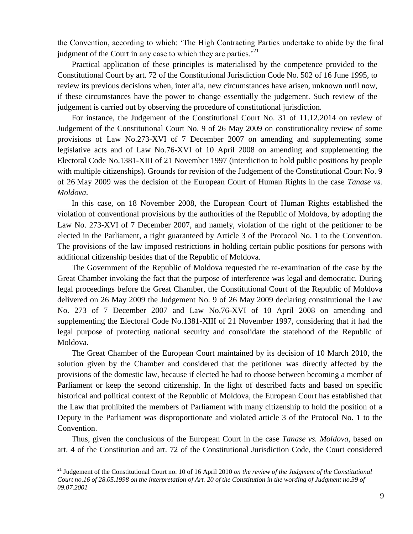the Convention, according to which: 'The High Contracting Parties undertake to abide by the final judgment of the Court in any case to which they are parties.<sup> $21$ </sup>

Practical application of these principles is materialised by the competence provided to the Constitutional Court by art. 72 of the Constitutional Jurisdiction Code No. 502 of 16 June 1995, to review its previous decisions when, inter alia, new circumstances have arisen, unknown until now, if these circumstances have the power to change essentially the judgement. Such review of the judgement is carried out by observing the procedure of constitutional jurisdiction.

For instance, the Judgement of the Constitutional Court No. 31 of 11.12.2014 on review of Judgement of the Constitutional Court No. 9 of 26 May 2009 on constitutionality review of some provisions of Law No.273-XVI of 7 December 2007 on amending and supplementing some legislative acts and of Law No.76-XVI of 10 April 2008 on amending and supplementing the Electoral Code No.1381-XIII of 21 November 1997 (interdiction to hold public positions by people with multiple citizenships). Grounds for revision of the Judgement of the Constitutional Court No. 9 of 26 May 2009 was the decision of the European Court of Human Rights in the case *Tanase vs. Moldova*.

In this case, on 18 November 2008, the European Court of Human Rights established the violation of conventional provisions by the authorities of the Republic of Moldova, by adopting the Law No. 273-XVI of 7 December 2007, and namely, violation of the right of the petitioner to be elected in the Parliament, a right guaranteed by Article 3 of the Protocol No. 1 to the Convention. The provisions of the law imposed restrictions in holding certain public positions for persons with additional citizenship besides that of the Republic of Moldova.

The Government of the Republic of Moldova requested the re-examination of the case by the Great Chamber invoking the fact that the purpose of interference was legal and democratic. During legal proceedings before the Great Chamber, the Constitutional Court of the Republic of Moldova delivered on 26 May 2009 the Judgement No. 9 of 26 May 2009 declaring constitutional the Law No. 273 of 7 December 2007 and Law No.76-XVI of 10 April 2008 on amending and supplementing the Electoral Code No.1381-XIII of 21 November 1997, considering that it had the legal purpose of protecting national security and consolidate the statehood of the Republic of Moldova.

The Great Chamber of the European Court maintained by its decision of 10 March 2010, the solution given by the Chamber and considered that the petitioner was directly affected by the provisions of the domestic law, because if elected he had to choose between becoming a member of Parliament or keep the second citizenship. In the light of described facts and based on specific historical and political context of the Republic of Moldova, the European Court has established that the Law that prohibited the members of Parliament with many citizenship to hold the position of a Deputy in the Parliament was disproportionate and violated article 3 of the Protocol No. 1 to the Convention.

Thus, given the conclusions of the European Court in the case *Tanase vs. Moldova*, based on art. 4 of the Constitution and art. 72 of the Constitutional Jurisdiction Code, the Court considered

<sup>21</sup> Judgement of the Constitutional Court no. 10 of 16 April 2010 *on the review of the Judgment of the Constitutional Court no.16 of 28.05.1998 on the interpretation of Art. 20 of the Constitution in the wording of Judgment no.39 of 09.07.2001*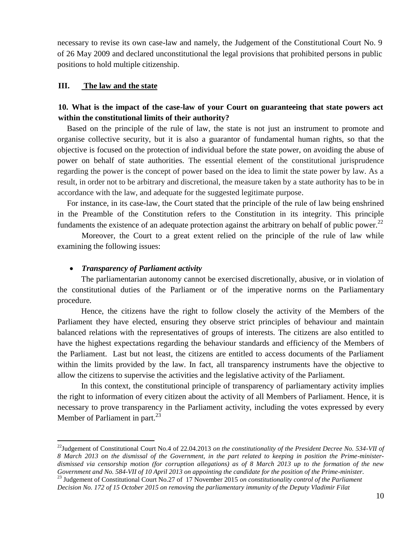necessary to revise its own case-law and namely, the Judgement of the Constitutional Court No. 9 of 26 May 2009 and declared unconstitutional the legal provisions that prohibited persons in public positions to hold multiple citizenship.

### **III. The law and the state**

## **10. What is the impact of the case-law of your Court on guaranteeing that state powers act within the constitutional limits of their authority?**

Based on the principle of the rule of law, the state is not just an instrument to promote and organise collective security, but it is also a guarantor of fundamental human rights, so that the objective is focused on the protection of individual before the state power, on avoiding the abuse of power on behalf of state authorities. The essential element of the constitutional jurisprudence regarding the power is the concept of power based on the idea to limit the state power by law. As a result, in order not to be arbitrary and discretional, the measure taken by a state authority has to be in accordance with the law, and adequate for the suggested legitimate purpose.

For instance, in its case-law, the Court stated that the principle of the rule of law being enshrined in the Preamble of the Constitution refers to the Constitution in its integrity. This principle fundaments the existence of an adequate protection against the arbitrary on behalf of public power.<sup>22</sup>

Moreover, the Court to a great extent relied on the principle of the rule of law while examining the following issues:

#### *Transparency of Parliament activity*

 $\overline{a}$ 

The parliamentarian autonomy cannot be exercised discretionally, abusive, or in violation of the constitutional duties of the Parliament or of the imperative norms on the Parliamentary procedure*.*

Hence, the citizens have the right to follow closely the activity of the Members of the Parliament they have elected, ensuring they observe strict principles of behaviour and maintain balanced relations with the representatives of groups of interests. The citizens are also entitled to have the highest expectations regarding the behaviour standards and efficiency of the Members of the Parliament. Last but not least, the citizens are entitled to access documents of the Parliament within the limits provided by the law. In fact, all transparency instruments have the objective to allow the citizens to supervise the activities and the legislative activity of the Parliament*.*

In this context, the constitutional principle of transparency of parliamentary activity implies the right to information of every citizen about the activity of all Members of Parliament. Hence, it is necessary to prove transparency in the Parliament activity, including the votes expressed by every Member of Parliament in part. $^{23}$ 

<sup>&</sup>lt;sup>22</sup>Judgement of Constitutional Court No.4 of 22.04.2013 *on the constitutionality of the President Decree No.* 534-VII of *8 March 2013 on the dismissal of the Government, in the part related to keeping in position the Prime-ministerdismissed via censorship motion (for corruption allegations) as of 8 March 2013 up to the formation of the new Government and No. 584-VII of 10 April 2013 on appointing the candidate for the position of the Prime-minister*. <sup>23</sup> Judgement of Constitutional Court No.27 of 17 November 2015 *on constitutionality control of the Parliament* 

*Decision No. 172 of 15 October 2015 on removing the parliamentary immunity of the Deputy Vladimir Filat*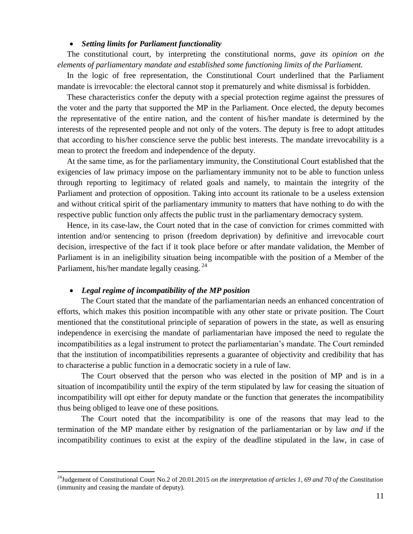### *Setting limits for Parliament functionality*

The constitutional court, by interpreting the constitutional norms, *gave its opinion on the elements of parliamentary mandate and established some functioning limits of the Parliament.*

In the logic of free representation, the Constitutional Court underlined that the Parliament mandate is irrevocable: the electoral cannot stop it prematurely and white dismissal is forbidden.

These characteristics confer the deputy with a special protection regime against the pressures of the voter and the party that supported the MP in the Parliament. Once elected, the deputy becomes the representative of the entire nation, and the content of his/her mandate is determined by the interests of the represented people and not only of the voters. The deputy is free to adopt attitudes that according to his/her conscience serve the public best interests. The mandate irrevocability is a mean to protect the freedom and independence of the deputy.

At the same time, as for the parliamentary immunity, the Constitutional Court established that the exigencies of law primacy impose on the parliamentary immunity not to be able to function unless through reporting to legitimacy of related goals and namely, to maintain the integrity of the Parliament and protection of opposition. Taking into account its rationale to be a useless extension and without critical spirit of the parliamentary immunity to matters that have nothing to do with the respective public function only affects the public trust in the parliamentary democracy system.

Hence, in its case-law, the Court noted that in the case of conviction for crimes committed with intention and/or sentencing to prison (freedom deprivation) by definitive and irrevocable court decision, irrespective of the fact if it took place before or after mandate validation, the Member of Parliament is in an ineligibility situation being incompatible with the position of a Member of the Parliament, his/her mandate legally ceasing.<sup>24</sup>

#### *Legal regime of incompatibility of the MP position*

 $\overline{a}$ 

The Court stated that the mandate of the parliamentarian needs an enhanced concentration of efforts, which makes this position incompatible with any other state or private position. The Court mentioned that the constitutional principle of separation of powers in the state, as well as ensuring independence in exercising the mandate of parliamentarian have imposed the need to regulate the incompatibilities as a legal instrument to protect the parliamentarian's mandate. The Court reminded that the institution of incompatibilities represents a guarantee of objectivity and credibility that has to characterise a public function in a democratic society in a rule of law*.*

The Court observed that the person who was elected in the position of MP and is in a situation of incompatibility until the expiry of the term stipulated by law for ceasing the situation of incompatibility will opt either for deputy mandate or the function that generates the incompatibility thus being obliged to leave one of these positions*.* 

The Court noted that the incompatibility is one of the reasons that may lead to the termination of the MP mandate either by resignation of the parliamentarian or by law *and* if the incompatibility continues to exist at the expiry of the deadline stipulated in the law, in case of

<sup>24</sup>Judgement of Constitutional Court No.2 of 20.01.2015 *on the interpretation of articles 1, 69 and 70 of the Constitution*  (immunity and ceasing the mandate of deputy).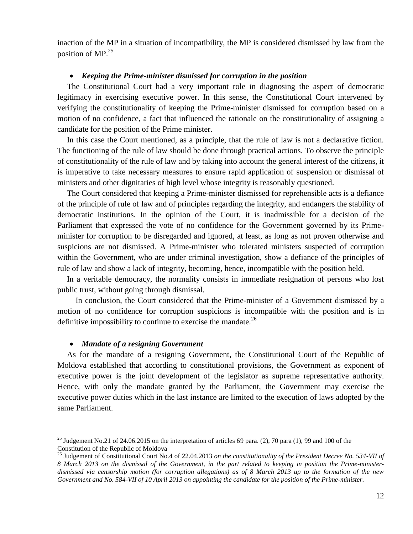inaction of the MP in a situation of incompatibility, the MP is considered dismissed by law from the position of MP.<sup>25</sup>

### *Keeping the Prime-minister dismissed for corruption in the position*

The Constitutional Court had a very important role in diagnosing the aspect of democratic legitimacy in exercising executive power. In this sense, the Constitutional Court intervened by verifying the constitutionality of keeping the Prime-minister dismissed for corruption based on a motion of no confidence, a fact that influenced the rationale on the constitutionality of assigning a candidate for the position of the Prime minister.

In this case the Court mentioned, as a principle, that the rule of law is not a declarative fiction. The functioning of the rule of law should be done through practical actions. To observe the principle of constitutionality of the rule of law and by taking into account the general interest of the citizens, it is imperative to take necessary measures to ensure rapid application of suspension or dismissal of ministers and other dignitaries of high level whose integrity is reasonably questioned.

The Court considered that keeping a Prime-minister dismissed for reprehensible acts is a defiance of the principle of rule of law and of principles regarding the integrity, and endangers the stability of democratic institutions. In the opinion of the Court, it is inadmissible for a decision of the Parliament that expressed the vote of no confidence for the Government governed by its Primeminister for corruption to be disregarded and ignored, at least, as long as not proven otherwise and suspicions are not dismissed. A Prime-minister who tolerated ministers suspected of corruption within the Government, who are under criminal investigation, show a defiance of the principles of rule of law and show a lack of integrity, becoming, hence, incompatible with the position held.

In a veritable democracy, the normality consists in immediate resignation of persons who lost public trust, without going through dismissal.

In conclusion, the Court considered that the Prime-minister of a Government dismissed by a motion of no confidence for corruption suspicions is incompatible with the position and is in definitive impossibility to continue to exercise the mandate.<sup>26</sup>

#### *Mandate of a resigning Government*

 $\overline{a}$ 

As for the mandate of a resigning Government, the Constitutional Court of the Republic of Moldova established that according to constitutional provisions, the Government as exponent of executive power is the joint development of the legislator as supreme representative authority. Hence, with only the mandate granted by the Parliament, the Government may exercise the executive power duties which in the last instance are limited to the execution of laws adopted by the same Parliament.

<sup>&</sup>lt;sup>25</sup> Judgement No.21 of 24.06.2015 on the interpretation of articles 69 para. (2), 70 para (1), 99 and 100 of the Constitution of the Republic of Moldova

<sup>26</sup> Judgement of Constitutional Court No.4 of 22.04.2013 *on the constitutionality of the President Decree No. 534-VII of 8 March 2013 on the dismissal of the Government, in the part related to keeping in position the Prime-ministerdismissed via censorship motion (for corruption allegations) as of 8 March 2013 up to the formation of the new Government and No. 584-VII of 10 April 2013 on appointing the candidate for the position of the Prime-minister*.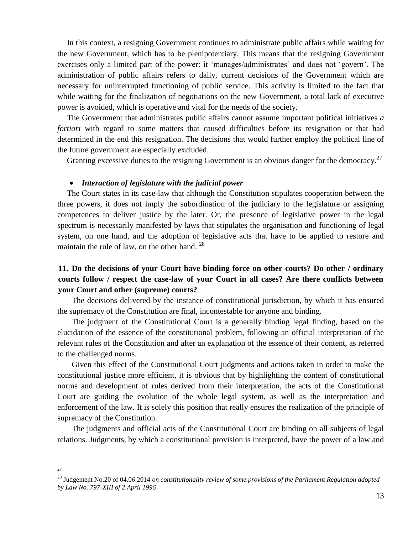In this context, a resigning Government continues to administrate public affairs while waiting for the new Government, which has to be plenipotentiary. This means that the resigning Government exercises only a limited part of the power: it 'manages/administrates' and does not 'govern'. The administration of public affairs refers to daily, current decisions of the Government which are necessary for uninterrupted functioning of public service. This activity is limited to the fact that while waiting for the finalization of negotiations on the new Government, a total lack of executive power is avoided, which is operative and vital for the needs of the society.

The Government that administrates public affairs cannot assume important political initiatives *a fortiori* with regard to some matters that caused difficulties before its resignation or that had determined in the end this resignation. The decisions that would further employ the political line of the future government are especially excluded.

Granting excessive duties to the resigning Government is an obvious danger for the democracy.<sup>27</sup>

#### *Interaction of legislature with the judicial power*

The Court states in its case-law that although the Constitution stipulates cooperation between the three powers, it does not imply the subordination of the judiciary to the legislature or assigning competences to deliver justice by the later. Or, the presence of legislative power in the legal spectrum is necessarily manifested by laws that stipulates the organisation and functioning of legal system, on one hand, and the adoption of legislative acts that have to be applied to restore and maintain the rule of law, on the other hand.<sup>28</sup>

## **11. Do the decisions of your Court have binding force on other courts? Do other / ordinary courts follow / respect the case-law of your Court in all cases? Are there conflicts between your Court and other (supreme) courts?**

The decisions delivered by the instance of constitutional jurisdiction, by which it has ensured the supremacy of the Constitution are final, incontestable for anyone and binding.

The judgment of the Constitutional Court is a generally binding legal finding, based on the elucidation of the essence of the constitutional problem, following an official interpretation of the relevant rules of the Constitution and after an explanation of the essence of their content, as referred to the challenged norms.

Given this effect of the Constitutional Court judgments and actions taken in order to make the constitutional justice more efficient, it is obvious that by highlighting the content of constitutional norms and development of rules derived from their interpretation, the acts of the Constitutional Court are guiding the evolution of the whole legal system, as well as the interpretation and enforcement of the law. It is solely this position that really ensures the realization of the principle of supremacy of the Constitution.

The judgments and official acts of the Constitutional Court are binding on all subjects of legal relations. Judgments, by which a constitutional provision is interpreted, have the power of a law and

 $\frac{1}{27}$ 

<sup>28</sup> Judgement No.20 of 04.06.2014 *on constitutionality review of some provisions of the Parliament Regulation adopted by Law No. 797-XIII of 2 April 1996*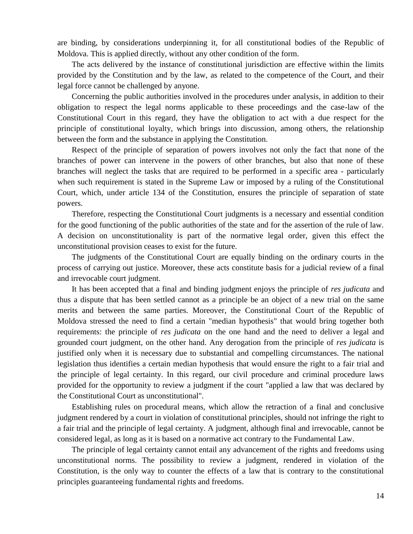are binding, by considerations underpinning it, for all constitutional bodies of the Republic of Moldova. This is applied directly, without any other condition of the form.

The acts delivered by the instance of constitutional jurisdiction are effective within the limits provided by the Constitution and by the law, as related to the competence of the Court, and their legal force cannot be challenged by anyone.

Concerning the public authorities involved in the procedures under analysis, in addition to their obligation to respect the legal norms applicable to these proceedings and the case-law of the Constitutional Court in this regard, they have the obligation to act with a due respect for the principle of constitutional loyalty, which brings into discussion, among others, the relationship between the form and the substance in applying the Constitution.

Respect of the principle of separation of powers involves not only the fact that none of the branches of power can intervene in the powers of other branches, but also that none of these branches will neglect the tasks that are required to be performed in a specific area - particularly when such requirement is stated in the Supreme Law or imposed by a ruling of the Constitutional Court, which, under article 134 of the Constitution, ensures the principle of separation of state powers.

Therefore, respecting the Constitutional Court judgments is a necessary and essential condition for the good functioning of the public authorities of the state and for the assertion of the rule of law. A decision on unconstitutionality is part of the normative legal order, given this effect the unconstitutional provision ceases to exist for the future.

The judgments of the Constitutional Court are equally binding on the ordinary courts in the process of carrying out justice. Moreover, these acts constitute basis for a judicial review of a final and irrevocable court judgment.

It has been accepted that a final and binding judgment enjoys the principle of *res judicata* and thus a dispute that has been settled cannot as a principle be an object of a new trial on the same merits and between the same parties. Moreover, the Constitutional Court of the Republic of Moldova stressed the need to find a certain "median hypothesis" that would bring together both requirements: the principle of *res judicata* on the one hand and the need to deliver a legal and grounded court judgment, on the other hand. Any derogation from the principle of *res judicata* is justified only when it is necessary due to substantial and compelling circumstances. The national legislation thus identifies a certain median hypothesis that would ensure the right to a fair trial and the principle of legal certainty. In this regard, our civil procedure and criminal procedure laws provided for the opportunity to review a judgment if the court "applied a law that was declared by the Constitutional Court as unconstitutional".

Establishing rules on procedural means, which allow the retraction of a final and conclusive judgment rendered by a court in violation of constitutional principles, should not infringe the right to a fair trial and the principle of legal certainty. A judgment, although final and irrevocable, cannot be considered legal, as long as it is based on a normative act contrary to the Fundamental Law.

The principle of legal certainty cannot entail any advancement of the rights and freedoms using unconstitutional norms. The possibility to review a judgment, rendered in violation of the Constitution, is the only way to counter the effects of a law that is contrary to the constitutional principles guaranteeing fundamental rights and freedoms.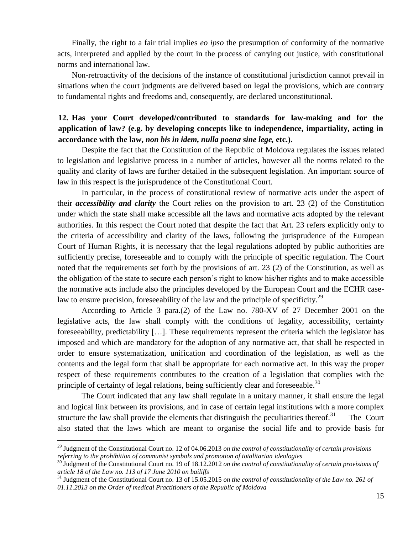Finally, the right to a fair trial implies *eo ipso* the presumption of conformity of the normative acts, interpreted and applied by the court in the process of carrying out justice, with constitutional norms and international law.

Non-retroactivity of the decisions of the instance of constitutional jurisdiction cannot prevail in situations when the court judgments are delivered based on legal the provisions, which are contrary to fundamental rights and freedoms and, consequently, are declared unconstitutional.

# **12. Has your Court developed/contributed to standards for law-making and for the application of law? (e.g. by developing concepts like to independence, impartiality, acting in accordance with the law,** *non bis in idem, nulla poena sine lege,* **etc.).**

Despite the fact that the Constitution of the Republic of Moldova regulates the issues related to legislation and legislative process in a number of articles, however all the norms related to the quality and clarity of laws are further detailed in the subsequent legislation. An important source of law in this respect is the jurisprudence of the Constitutional Court.

In particular, in the process of constitutional review of normative acts under the aspect of their *accessibility and clarity* the Court relies on the provision to art. 23 (2) of the Constitution under which the state shall make accessible all the laws and normative acts adopted by the relevant authorities. In this respect the Court noted that despite the fact that Art. 23 refers explicitly only to the criteria of accessibility and clarity of the laws, following the jurisprudence of the European Court of Human Rights, it is necessary that the legal regulations adopted by public authorities are sufficiently precise, foreseeable and to comply with the principle of specific regulation. The Court noted that the requirements set forth by the provisions of art. 23 (2) of the Constitution, as well as the obligation of the state to secure each person's right to know his/her rights and to make accessible the normative acts include also the principles developed by the European Court and the ECHR caselaw to ensure precision, foreseeability of the law and the principle of specificity.<sup>29</sup>

According to Article 3 para.(2) of the Law no. 780-XV of 27 December 2001 on the legislative acts, the law shall comply with the conditions of legality, accessibility, certainty foreseeability, predictability […]. These requirements represent the criteria which the legislator has imposed and which are mandatory for the adoption of any normative act, that shall be respected in order to ensure systematization, unification and coordination of the legislation, as well as the contents and the legal form that shall be appropriate for each normative act. In this way the proper respect of these requirements contributes to the creation of a legislation that complies with the principle of certainty of legal relations, being sufficiently clear and foreseeable.<sup>30</sup>

The Court indicated that any law shall regulate in a unitary manner, it shall ensure the legal and logical link between its provisions, and in case of certain legal institutions with a more complex structure the law shall provide the elements that distinguish the peculiarities thereof.<sup>31</sup> The Court also stated that the laws which are meant to organise the social life and to provide basis for

<sup>29</sup> Judgment of the Constitutional Court no. 12 of 04.06.2013 *on the control of constitutionality of certain provisions referring to the prohibition of communist symbols and promotion of totalitarian ideologies*

<sup>30</sup> Judgment of the Constitutional Court no. 19 of 18.12.2012 *on the control of constitutionality of certain provisions of article 18 of the Law no. 113 of 17 June 2010 on bailiffs* 

<sup>31</sup> Judgment of the Constitutional Court no. 13 of 15.05.2015 *on the control of constitutionality of the Law no. 261 of 01.11.2013 on the Order of medical Practitioners of the Republic of Moldova*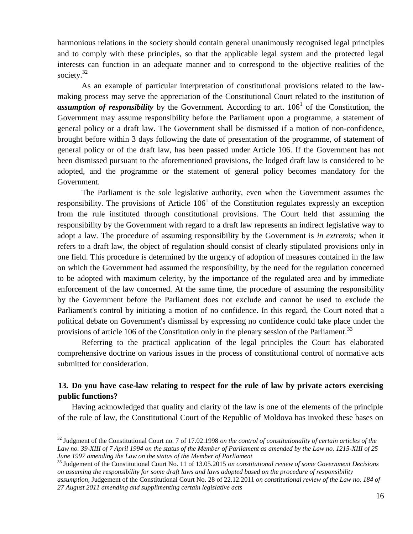harmonious relations in the society should contain general unanimously recognised legal principles and to comply with these principles, so that the applicable legal system and the protected legal interests can function in an adequate manner and to correspond to the objective realities of the society.<sup>32</sup>

As an example of particular interpretation of constitutional provisions related to the lawmaking process may serve the appreciation of the Constitutional Court related to the institution of assumption of responsibility by the Government. According to art. 106<sup>1</sup> of the Constitution, the Government may assume responsibility before the Parliament upon a programme, a statement of general policy or a draft law. The Government shall be dismissed if a motion of non-confidence, brought before within 3 days following the date of presentation of the programme, of statement of general policy or of the draft law, has been passed under Article 106. If the Government has not been dismissed pursuant to the aforementioned provisions, the lodged draft law is considered to be adopted, and the programme or the statement of general policy becomes mandatory for the Government.

The Parliament is the sole legislative authority, even when the Government assumes the responsibility. The provisions of Article  $106<sup>1</sup>$  of the Constitution regulates expressly an exception from the rule instituted through constitutional provisions. The Court held that assuming the responsibility by the Government with regard to a draft law represents an indirect legislative way to adopt a law. The procedure of assuming responsibility by the Government is *in extremis;* when it refers to a draft law, the object of regulation should consist of clearly stipulated provisions only in one field. This procedure is determined by the urgency of adoption of measures contained in the law on which the Government had assumed the responsibility, by the need for the regulation concerned to be adopted with maximum celerity, by the importance of the regulated area and by immediate enforcement of the law concerned. At the same time, the procedure of assuming the responsibility by the Government before the Parliament does not exclude and cannot be used to exclude the Parliament's control by initiating a motion of no confidence. In this regard, the Court noted that a political debate on Government's dismissal by expressing no confidence could take place under the provisions of article 106 of the Constitution only in the plenary session of the Parliament.<sup>33</sup>

Referring to the practical application of the legal principles the Court has elaborated comprehensive doctrine on various issues in the process of constitutional control of normative acts submitted for consideration.

## **13. Do you have case-law relating to respect for the rule of law by private actors exercising public functions?**

Having acknowledged that quality and clarity of the law is one of the elements of the principle of the rule of law, the Constitutional Court of the Republic of Moldova has invoked these bases on

<sup>32</sup> Judgment of the Constitutional Court no. 7 of 17.02.1998 *on the control of constitutionality of certain articles of the Law no. 39-XIII of 7 April 1994 on the status of the Member of Parliament as amended by the Law no. 1215-XIII of 25 June 1997 amending the Law on the status of the Member of Parliament*

<sup>33</sup> Judgement of the Constitutional Court No. 11 of 13.05.2015 *on constitutional review of some Government Decisions on assuming the responsibility for some draft laws and laws adopted based on the procedure of responsibility* 

*assumption,* Judgement of the Constitutional Court No. 28 of 22.12.2011 *on constitutional review of the Law no. 184 of 27 August 2011 amending and supplimenting certain legislative acts*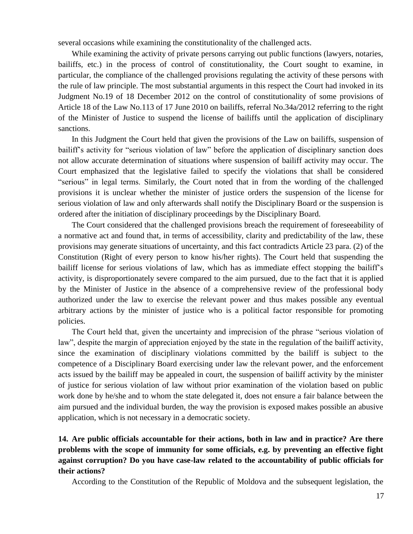several occasions while examining the constitutionality of the challenged acts.

While examining the activity of private persons carrying out public functions (lawyers, notaries, bailiffs, etc.) in the process of control of constitutionality, the Court sought to examine, in particular, the compliance of the challenged provisions regulating the activity of these persons with the rule of law principle. The most substantial arguments in this respect the Court had invoked in its Judgment No.19 of 18 December 2012 on the control of constitutionality of some provisions of Article 18 of the Law No.113 of 17 June 2010 on bailiffs, referral No.34a/2012 referring to the right of the Minister of Justice to suspend the license of bailiffs until the application of disciplinary sanctions.

In this Judgment the Court held that given the provisions of the Law on bailiffs, suspension of bailiff's activity for "serious violation of law" before the application of disciplinary sanction does not allow accurate determination of situations where suspension of bailiff activity may occur. The Court emphasized that the legislative failed to specify the violations that shall be considered "serious" in legal terms. Similarly, the Court noted that in from the wording of the challenged provisions it is unclear whether the minister of justice orders the suspension of the license for serious violation of law and only afterwards shall notify the Disciplinary Board or the suspension is ordered after the initiation of disciplinary proceedings by the Disciplinary Board.

The Court considered that the challenged provisions breach the requirement of foreseeability of a normative act and found that, in terms of accessibility, clarity and predictability of the law, these provisions may generate situations of uncertainty, and this fact contradicts Article 23 para. (2) of the Constitution (Right of every person to know his/her rights). The Court held that suspending the bailiff license for serious violations of law, which has as immediate effect stopping the bailiff's activity, is disproportionately severe compared to the aim pursued, due to the fact that it is applied by the Minister of Justice in the absence of a comprehensive review of the professional body authorized under the law to exercise the relevant power and thus makes possible any eventual arbitrary actions by the minister of justice who is a political factor responsible for promoting policies.

The Court held that, given the uncertainty and imprecision of the phrase "serious violation of law", despite the margin of appreciation enjoyed by the state in the regulation of the bailiff activity, since the examination of disciplinary violations committed by the bailiff is subject to the competence of a Disciplinary Board exercising under law the relevant power, and the enforcement acts issued by the bailiff may be appealed in court, the suspension of bailiff activity by the minister of justice for serious violation of law without prior examination of the violation based on public work done by he/she and to whom the state delegated it, does not ensure a fair balance between the aim pursued and the individual burden, the way the provision is exposed makes possible an abusive application, which is not necessary in a democratic society.

# **14. Are public officials accountable for their actions, both in law and in practice? Are there problems with the scope of immunity for some officials, e.g. by preventing an effective fight against corruption? Do you have case-law related to the accountability of public officials for their actions?**

According to the Constitution of the Republic of Moldova and the subsequent legislation, the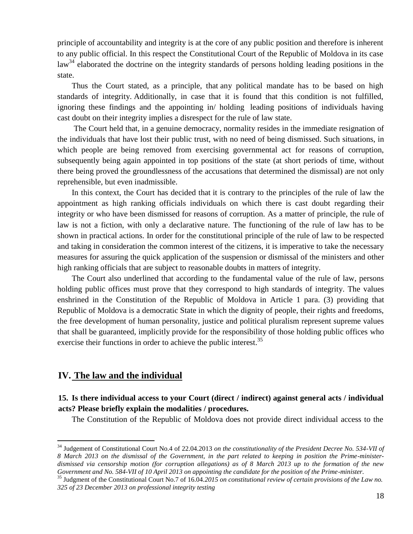principle of accountability and integrity is at the core of any public position and therefore is inherent to any public official. In this respect the Constitutional Court of the Republic of Moldova in its case law<sup>34</sup> elaborated the doctrine on the integrity standards of persons holding leading positions in the state.

Thus the Court stated, as a principle, that any political mandate has to be based on high standards of integrity. Additionally, in case that it is found that this condition is not fulfilled, ignoring these findings and the appointing in/ holding leading positions of individuals having cast doubt on their integrity implies a disrespect for the rule of law state.

The Court held that, in a genuine democracy, normality resides in the immediate resignation of the individuals that have lost their public trust, with no need of being dismissed. Such situations, in which people are being removed from exercising governmental act for reasons of corruption, subsequently being again appointed in top positions of the state (at short periods of time, without there being proved the groundlessness of the accusations that determined the dismissal) are not only reprehensible, but even inadmissible.

In this context, the Court has decided that it is contrary to the principles of the rule of law the appointment as high ranking officials individuals on which there is cast doubt regarding their integrity or who have been dismissed for reasons of corruption. As a matter of principle, the rule of law is not a fiction, with only a declarative nature. The functioning of the rule of law has to be shown in practical actions. In order for the constitutional principle of the rule of law to be respected and taking in consideration the common interest of the citizens, it is imperative to take the necessary measures for assuring the quick application of the suspension or dismissal of the ministers and other high ranking officials that are subject to reasonable doubts in matters of integrity.

The Court also underlined that according to the fundamental value of the rule of law, persons holding public offices must prove that they correspond to high standards of integrity. The values enshrined in the Constitution of the Republic of Moldova in Article 1 para. (3) providing that Republic of Moldova is a democratic State in which the dignity of people, their rights and freedoms, the free development of human personality, justice and political pluralism represent supreme values that shall be guaranteed, implicitly provide for the responsibility of those holding public offices who exercise their functions in order to achieve the public interest.<sup>35</sup>

# **IV. The law and the individual**

 $\overline{a}$ 

## **15. Is there individual access to your Court (direct / indirect) against general acts / individual acts? Please briefly explain the modalities / procedures.**

The Constitution of the Republic of Moldova does not provide direct individual access to the

<sup>34</sup> Judgement of Constitutional Court No.4 of 22.04.2013 *on the constitutionality of the President Decree No. 534-VII of 8 March 2013 on the dismissal of the Government, in the part related to keeping in position the Prime-ministerdismissed via censorship motion (for corruption allegations) as of 8 March 2013 up to the formation of the new Government and No. 584-VII of 10 April 2013 on appointing the candidate for the position of the Prime-minister*.

<sup>35</sup> Judgment of the Constitutional Court No.7 of 16.04.*2015 on constitutional review of certain provisions of the Law no. 325 of 23 December 2013 on professional integrity testing*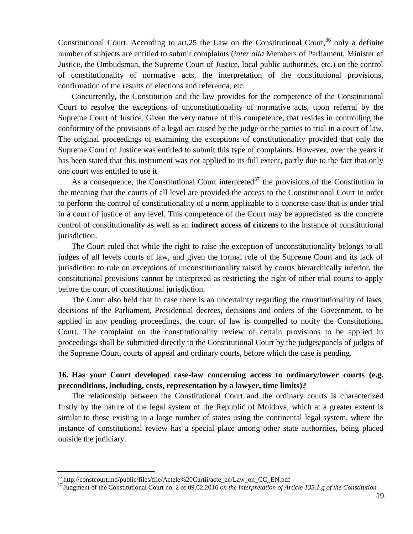Constitutional Court. According to art.25 the Law on the Constitutional Court,  $36$  only a definite number of subjects are entitled to submit complaints (*inter alia* Members of Parliament, Minister of Justice, the Ombudsman, the Supreme Court of Justice, local public authorities, etc.) on the control of constitutionality of normative acts, the interpretation of the constitutional provisions, confirmation of the results of elections and referenda, etc.

Concurrently, the Constitution and the law provides for the competence of the Constitutional Court to resolve the exceptions of unconstitutionality of normative acts, upon referral by the Supreme Court of Justice. Given the very nature of this competence, that resides in controlling the conformity of the provisions of a legal act raised by the judge or the parties to trial in a court of law. The original proceedings of examining the exceptions of constitutionality provided that only the Supreme Court of Justice was entitled to submit this type of complaints. However, over the years it has been stated that this instrument was not applied to its full extent, partly due to the fact that only one court was entitled to use it.

As a consequence, the Constitutional Court interpreted<sup>37</sup> the provisions of the Constitution in the meaning that the courts of all level are provided the access to the Constitutional Court in order to perform the control of constitutionality of a norm applicable to a concrete case that is under trial in a court of justice of any level. This competence of the Court may be appreciated as the concrete control of constitutionality as well as an **indirect access of citizens** to the instance of constitutional jurisdiction.

The Court ruled that while the right to raise the exception of unconstitutionality belongs to all judges of all levels courts of law, and given the formal role of the Supreme Court and its lack of jurisdiction to rule on exceptions of unconstitutionality raised by courts hierarchically inferior, the constitutional provisions cannot be interpreted as restricting the right of other trial courts to apply before the court of constitutional jurisdiction.

The Court also held that in case there is an uncertainty regarding the constitutionality of laws, decisions of the Parliament, Presidential decrees, decisions and orders of the Government, to be applied in any pending proceedings, the court of law is compelled to notify the Constitutional Court. The complaint on the constitutionality review of certain provisions to be applied in proceedings shall be submitted directly to the Constitutional Court by the judges/panels of judges of the Supreme Court, courts of appeal and ordinary courts, before which the case is pending.

# **16. Has your Court developed case-law concerning access to ordinary/lower courts (e.g. preconditions, including, costs, representation by a lawyer, time limits)?**

The relationship between the Constitutional Court and the ordinary courts is characterized firstly by the nature of the legal system of the Republic of Moldova, which at a greater extent is similar to those existing in a large number of states using the continental legal system, where the instance of constitutional review has a special place among other state authorities, being placed outside the judiciary.

<sup>36</sup> http://constcourt.md/public/files/file/Actele%20Curtii/acte\_en/Law\_on\_CC\_EN.pdf

<sup>37</sup> Judgment of the Constitutional Court no. 2 of 09.02.2016 *on the interpretation of Article 135.1.g of the Constitution*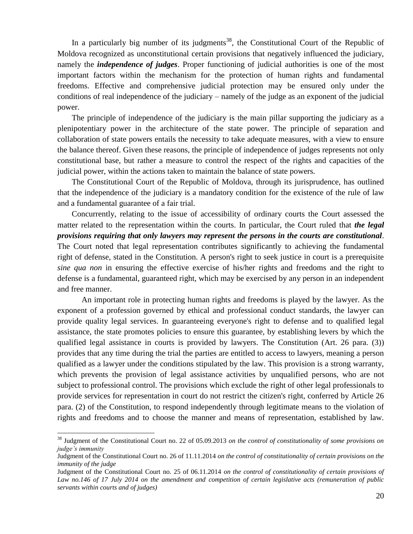In a particularly big number of its judgments<sup>38</sup>, the Constitutional Court of the Republic of Moldova recognized as unconstitutional certain provisions that negatively influenced the judiciary, namely the *independence of judges*. Proper functioning of judicial authorities is one of the most important factors within the mechanism for the protection of human rights and fundamental freedoms. Effective and comprehensive judicial protection may be ensured only under the conditions of real independence of the judiciary – namely of the judge as an exponent of the judicial power.

The principle of independence of the judiciary is the main pillar supporting the judiciary as a plenipotentiary power in the architecture of the state power. The principle of separation and collaboration of state powers entails the necessity to take adequate measures, with a view to ensure the balance thereof. Given these reasons, the principle of independence of judges represents not only constitutional base, but rather a measure to control the respect of the rights and capacities of the judicial power, within the actions taken to maintain the balance of state powers.

The Constitutional Court of the Republic of Moldova, through its jurisprudence, has outlined that the independence of the judiciary is a mandatory condition for the existence of the rule of law and a fundamental guarantee of a fair trial.

Concurrently, relating to the issue of accessibility of ordinary courts the Court assessed the matter related to the representation within the courts. In particular, the Court ruled that *the legal provisions requiring that only lawyers may represent the persons in the courts are constitutional*. The Court noted that legal representation contributes significantly to achieving the fundamental right of defense, stated in the Constitution. A person's right to seek justice in court is a prerequisite *sine qua non* in ensuring the effective exercise of his/her rights and freedoms and the right to defense is a fundamental, guaranteed right, which may be exercised by any person in an independent and free manner.

An important role in protecting human rights and freedoms is played by the lawyer. As the exponent of a profession governed by ethical and professional conduct standards, the lawyer can provide quality legal services. In guaranteeing everyone's right to defense and to qualified legal assistance, the state promotes policies to ensure this guarantee, by establishing levers by which the qualified legal assistance in courts is provided by lawyers. The Constitution (Art. 26 para. (3)) provides that any time during the trial the parties are entitled to access to lawyers, meaning a person qualified as a lawyer under the conditions stipulated by the law. This provision is a strong warranty, which prevents the provision of legal assistance activities by unqualified persons, who are not subject to professional control. The provisions which exclude the right of other legal professionals to provide services for representation in court do not restrict the citizen's right, conferred by Article 26 para. (2) of the Constitution, to respond independently through legitimate means to the violation of rights and freedoms and to choose the manner and means of representation, established by law.

<sup>38</sup> Judgment of the Constitutional Court no. 22 of 05.09.2013 *on the control of constitutionality of some provisions on judge's immunity*

Judgment of the Constitutional Court no. 26 of 11.11.2014 *on the control of constitutionality of certain provisions on the immunity of the judge*

Judgment of the Constitutional Court no. 25 of 06.11.2014 *on the control of constitutionality of certain provisions of Law no.146 of 17 July 2014 on the amendment and competition of certain legislative acts (remuneration of public servants within courts and of judges)*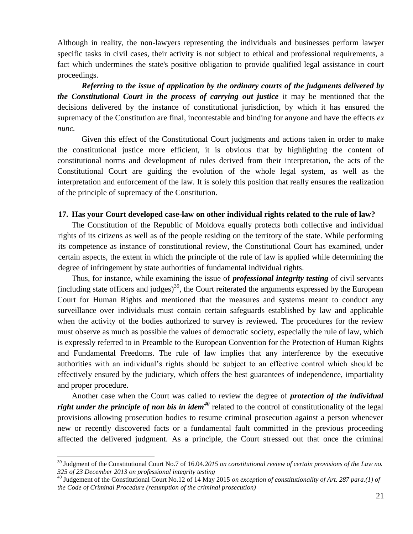Although in reality, the non-lawyers representing the individuals and businesses perform lawyer specific tasks in civil cases, their activity is not subject to ethical and professional requirements, a fact which undermines the state's positive obligation to provide qualified legal assistance in court proceedings.

*Referring to the issue of application by the ordinary courts of the judgments delivered by the Constitutional Court in the process of carrying out justice* it may be mentioned that the decisions delivered by the instance of constitutional jurisdiction, by which it has ensured the supremacy of the Constitution are final, incontestable and binding for anyone and have the effects *ex nunc.*

Given this effect of the Constitutional Court judgments and actions taken in order to make the constitutional justice more efficient, it is obvious that by highlighting the content of constitutional norms and development of rules derived from their interpretation, the acts of the Constitutional Court are guiding the evolution of the whole legal system, as well as the interpretation and enforcement of the law. It is solely this position that really ensures the realization of the principle of supremacy of the Constitution.

#### **17. Has your Court developed case-law on other individual rights related to the rule of law?**

The Constitution of the Republic of Moldova equally protects both collective and individual rights of its citizens as well as of the people residing on the territory of the state. While performing its competence as instance of constitutional review, the Constitutional Court has examined, under certain aspects, the extent in which the principle of the rule of law is applied while determining the degree of infringement by state authorities of fundamental individual rights.

Thus, for instance, while examining the issue of *professional integrity testing* of civil servants (including state officers and judges)<sup>39</sup>, the Court reiterated the arguments expressed by the European Court for Human Rights and mentioned that the measures and systems meant to conduct any surveillance over individuals must contain certain safeguards established by law and applicable when the activity of the bodies authorized to survey is reviewed. The procedures for the review must observe as much as possible the values of democratic society, especially the rule of law, which is expressly referred to in Preamble to the European Convention for the Protection of Human Rights and Fundamental Freedoms. The rule of law implies that any interference by the executive authorities with an individual's rights should be subject to an effective control which should be effectively ensured by the judiciary, which offers the best guarantees of independence, impartiality and proper procedure.

Another case when the Court was called to review the degree of *protection of the individual right under the principle of non bis in idem<sup>40</sup>* related to the control of constitutionality of the legal provisions allowing prosecution bodies to resume criminal prosecution against a person whenever new or recently discovered facts or a fundamental fault committed in the previous proceeding affected the delivered judgment. As a principle, the Court stressed out that once the criminal

<sup>39</sup> Judgment of the Constitutional Court No.7 of 16.04.*2015 on constitutional review of certain provisions of the Law no. 325 of 23 December 2013 on professional integrity testing*

<sup>40</sup> Judgement of the Constitutional Court No.12 of 14 May 2015 *on exception of constitutionality of Art. 287 para.(1) of the Code of Criminal Procedure (resumption of the criminal prosecution)*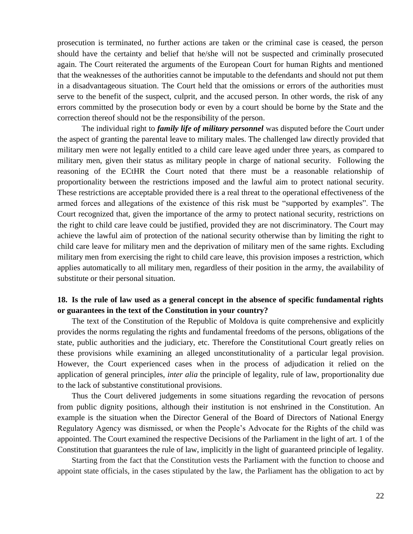prosecution is terminated, no further actions are taken or the criminal case is ceased, the person should have the certainty and belief that he/she will not be suspected and criminally prosecuted again. The Court reiterated the arguments of the European Court for human Rights and mentioned that the weaknesses of the authorities cannot be imputable to the defendants and should not put them in a disadvantageous situation. The Court held that the omissions or errors of the authorities must serve to the benefit of the suspect, culprit, and the accused person. In other words, the risk of any errors committed by the prosecution body or even by a court should be borne by the State and the correction thereof should not be the responsibility of the person.

The individual right to *family life of military personnel* was disputed before the Court under the aspect of granting the parental leave to military males. The challenged law directly provided that military men were not legally entitled to a child care leave aged under three years, as compared to military men, given their status as military people in charge of national security. Following the reasoning of the ECtHR the Court noted that there must be a reasonable relationship of proportionality between the restrictions imposed and the lawful aim to protect national security. These restrictions are acceptable provided there is a real threat to the operational effectiveness of the armed forces and allegations of the existence of this risk must be "supported by examples". The Court recognized that, given the importance of the army to protect national security, restrictions on the right to child care leave could be justified, provided they are not discriminatory. The Court may achieve the lawful aim of protection of the national security otherwise than by limiting the right to child care leave for military men and the deprivation of military men of the same rights. Excluding military men from exercising the right to child care leave, this provision imposes a restriction, which applies automatically to all military men, regardless of their position in the army, the availability of substitute or their personal situation.

### **18. Is the rule of law used as a general concept in the absence of specific fundamental rights or guarantees in the text of the Constitution in your country?**

The text of the Constitution of the Republic of Moldova is quite comprehensive and explicitly provides the norms regulating the rights and fundamental freedoms of the persons, obligations of the state, public authorities and the judiciary, etc. Therefore the Constitutional Court greatly relies on these provisions while examining an alleged unconstitutionality of a particular legal provision. However, the Court experienced cases when in the process of adjudication it relied on the application of general principles, *inter alia* the principle of legality, rule of law, proportionality due to the lack of substantive constitutional provisions.

Thus the Court delivered judgements in some situations regarding the revocation of persons from public dignity positions, although their institution is not enshrined in the Constitution. An example is the situation when the Director General of the Board of Directors of National Energy Regulatory Agency was dismissed, or when the People's Advocate for the Rights of the child was appointed. The Court examined the respective Decisions of the Parliament in the light of art. 1 of the Constitution that guarantees the rule of law, implicitly in the light of guaranteed principle of legality.

Starting from the fact that the Constitution vests the Parliament with the function to choose and appoint state officials, in the cases stipulated by the law, the Parliament has the obligation to act by